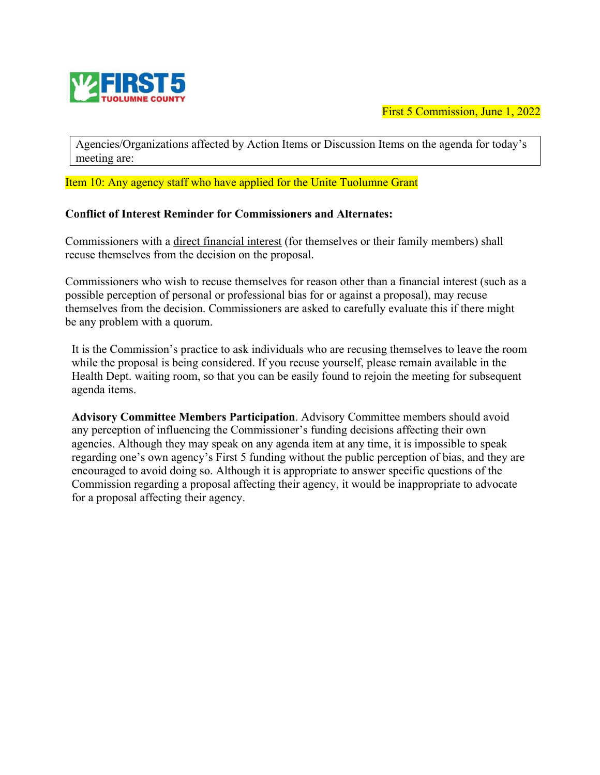

First 5 Commission, June 1, 2022

Agencies/Organizations affected by Action Items or Discussion Items on the agenda for today's meeting are:

Item 10: Any agency staff who have applied for the Unite Tuolumne Grant

#### **Conflict of Interest Reminder for Commissioners and Alternates:**

Commissioners with a direct financial interest (for themselves or their family members) shall recuse themselves from the decision on the proposal.

Commissioners who wish to recuse themselves for reason other than a financial interest (such as a possible perception of personal or professional bias for or against a proposal), may recuse themselves from the decision. Commissioners are asked to carefully evaluate this if there might be any problem with a quorum.

It is the Commission's practice to ask individuals who are recusing themselves to leave the room while the proposal is being considered. If you recuse yourself, please remain available in the Health Dept. waiting room, so that you can be easily found to rejoin the meeting for subsequent agenda items.

**Advisory Committee Members Participation**. Advisory Committee members should avoid any perception of influencing the Commissioner's funding decisions affecting their own agencies. Although they may speak on any agenda item at any time, it is impossible to speak regarding one's own agency's First 5 funding without the public perception of bias, and they are encouraged to avoid doing so. Although it is appropriate to answer specific questions of the Commission regarding a proposal affecting their agency, it would be inappropriate to advocate for a proposal affecting their agency.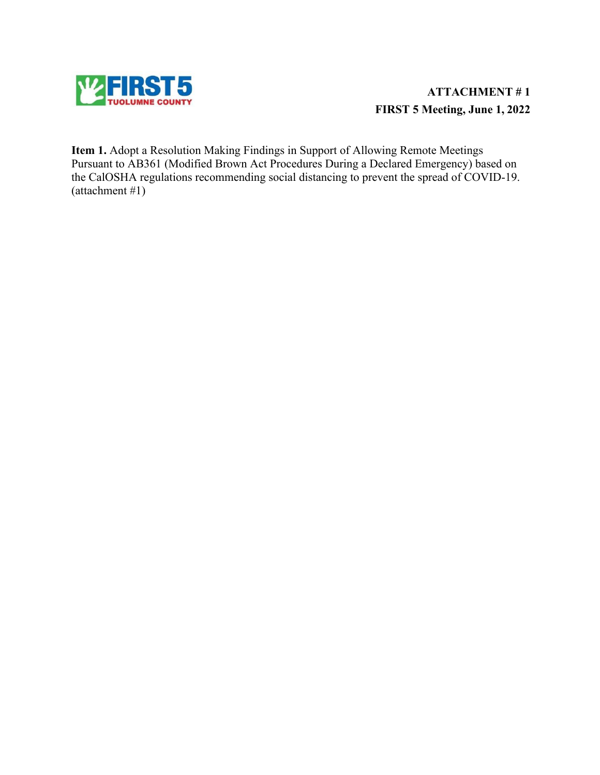

# **ATTACHMENT # 1 FIRST 5 Meeting, June 1, 2022**

**Item 1.** Adopt a Resolution Making Findings in Support of Allowing Remote Meetings Pursuant to AB361 (Modified Brown Act Procedures During a Declared Emergency) based on the CalOSHA regulations recommending social distancing to prevent the spread of COVID-19. (attachment #1)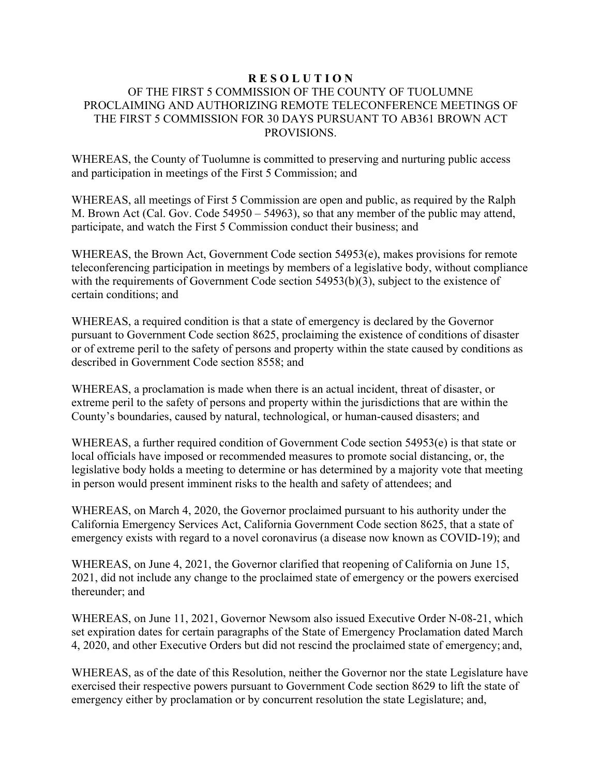#### **R E S O L U T I O N** OF THE FIRST 5 COMMISSION OF THE COUNTY OF TUOLUMNE PROCLAIMING AND AUTHORIZING REMOTE TELECONFERENCE MEETINGS OF THE FIRST 5 COMMISSION FOR 30 DAYS PURSUANT TO AB361 BROWN ACT PROVISIONS.

WHEREAS, the County of Tuolumne is committed to preserving and nurturing public access and participation in meetings of the First 5 Commission; and

WHEREAS, all meetings of First 5 Commission are open and public, as required by the Ralph M. Brown Act (Cal. Gov. Code 54950 – 54963), so that any member of the public may attend, participate, and watch the First 5 Commission conduct their business; and

WHEREAS, the Brown Act, Government Code section 54953(e), makes provisions for remote teleconferencing participation in meetings by members of a legislative body, without compliance with the requirements of Government Code section 54953(b)(3), subject to the existence of certain conditions; and

WHEREAS, a required condition is that a state of emergency is declared by the Governor pursuant to Government Code section 8625, proclaiming the existence of conditions of disaster or of extreme peril to the safety of persons and property within the state caused by conditions as described in Government Code section 8558; and

WHEREAS, a proclamation is made when there is an actual incident, threat of disaster, or extreme peril to the safety of persons and property within the jurisdictions that are within the County's boundaries, caused by natural, technological, or human-caused disasters; and

WHEREAS, a further required condition of Government Code section 54953(e) is that state or local officials have imposed or recommended measures to promote social distancing, or, the legislative body holds a meeting to determine or has determined by a majority vote that meeting in person would present imminent risks to the health and safety of attendees; and

WHEREAS, on March 4, 2020, the Governor proclaimed pursuant to his authority under the California Emergency Services Act, California Government Code section 8625, that a state of emergency exists with regard to a novel coronavirus (a disease now known as COVID-19); and

WHEREAS, on June 4, 2021, the Governor clarified that reopening of California on June 15, 2021, did not include any change to the proclaimed state of emergency or the powers exercised thereunder; and

WHEREAS, on June 11, 2021, Governor Newsom also issued Executive Order N-08-21, which set expiration dates for certain paragraphs of the State of Emergency Proclamation dated March 4, 2020, and other Executive Orders but did not rescind the proclaimed state of emergency; and,

WHEREAS, as of the date of this Resolution, neither the Governor nor the state Legislature have exercised their respective powers pursuant to Government Code section 8629 to lift the state of emergency either by proclamation or by concurrent resolution the state Legislature; and,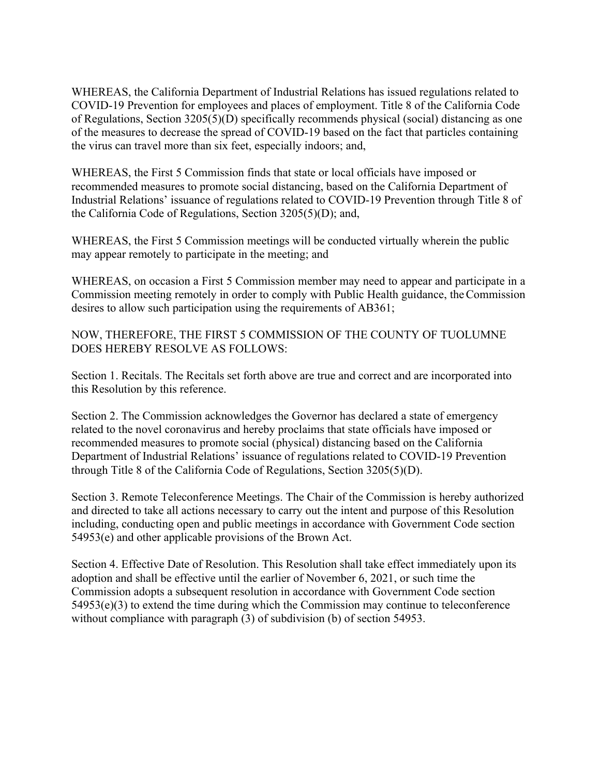WHEREAS, the California Department of Industrial Relations has issued regulations related to COVID-19 Prevention for employees and places of employment. Title 8 of the California Code of Regulations, Section 3205(5)(D) specifically recommends physical (social) distancing as one of the measures to decrease the spread of COVID-19 based on the fact that particles containing the virus can travel more than six feet, especially indoors; and,

WHEREAS, the First 5 Commission finds that state or local officials have imposed or recommended measures to promote social distancing, based on the California Department of Industrial Relations' issuance of regulations related to COVID-19 Prevention through Title 8 of the California Code of Regulations, Section 3205(5)(D); and,

WHEREAS, the First 5 Commission meetings will be conducted virtually wherein the public may appear remotely to participate in the meeting; and

WHEREAS, on occasion a First 5 Commission member may need to appear and participate in a Commission meeting remotely in order to comply with Public Health guidance, theCommission desires to allow such participation using the requirements of AB361;

NOW, THEREFORE, THE FIRST 5 COMMISSION OF THE COUNTY OF TUOLUMNE DOES HEREBY RESOLVE AS FOLLOWS:

Section 1. Recitals. The Recitals set forth above are true and correct and are incorporated into this Resolution by this reference.

Section 2. The Commission acknowledges the Governor has declared a state of emergency related to the novel coronavirus and hereby proclaims that state officials have imposed or recommended measures to promote social (physical) distancing based on the California Department of Industrial Relations' issuance of regulations related to COVID-19 Prevention through Title 8 of the California Code of Regulations, Section 3205(5)(D).

Section 3. Remote Teleconference Meetings. The Chair of the Commission is hereby authorized and directed to take all actions necessary to carry out the intent and purpose of this Resolution including, conducting open and public meetings in accordance with Government Code section 54953(e) and other applicable provisions of the Brown Act.

Section 4. Effective Date of Resolution. This Resolution shall take effect immediately upon its adoption and shall be effective until the earlier of November 6, 2021, or such time the Commission adopts a subsequent resolution in accordance with Government Code section  $54953(e)(3)$  to extend the time during which the Commission may continue to teleconference without compliance with paragraph (3) of subdivision (b) of section 54953.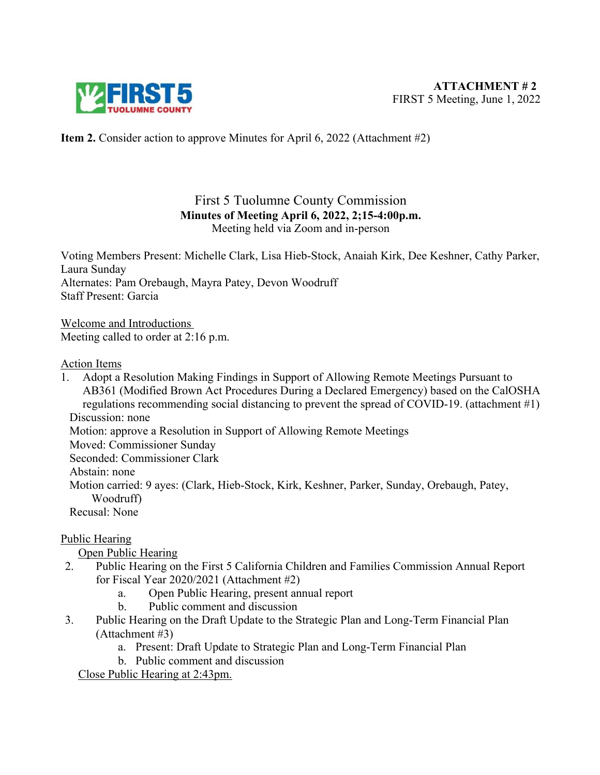

**Item 2.** Consider action to approve Minutes for April 6, 2022 (Attachment #2)

## First 5 Tuolumne County Commission **Minutes of Meeting April 6, 2022, 2;15-4:00p.m.**  Meeting held via Zoom and in-person

Voting Members Present: Michelle Clark, Lisa Hieb-Stock, Anaiah Kirk, Dee Keshner, Cathy Parker, Laura Sunday Alternates: Pam Orebaugh, Mayra Patey, Devon Woodruff Staff Present: Garcia

Welcome and Introductions Meeting called to order at 2:16 p.m.

#### Action Items

1. Adopt a Resolution Making Findings in Support of Allowing Remote Meetings Pursuant to AB361 (Modified Brown Act Procedures During a Declared Emergency) based on the CalOSHA regulations recommending social distancing to prevent the spread of COVID-19. (attachment #1) Discussion: none Motion: approve a Resolution in Support of Allowing Remote Meetings Moved: Commissioner Sunday

Seconded: Commissioner Clark

Abstain: none

Motion carried: 9 ayes: (Clark, Hieb-Stock, Kirk, Keshner, Parker, Sunday, Orebaugh, Patey, Woodruff)

Recusal: None

# Public Hearing

Open Public Hearing

- 2. Public Hearing on the First 5 California Children and Families Commission Annual Report for Fiscal Year 2020/2021 (Attachment #2)
	- a. Open Public Hearing, present annual report
	- b. Public comment and discussion
- 3. Public Hearing on the Draft Update to the Strategic Plan and Long-Term Financial Plan (Attachment #3)
	- a. Present: Draft Update to Strategic Plan and Long-Term Financial Plan
	- b. Public comment and discussion

Close Public Hearing at 2:43pm.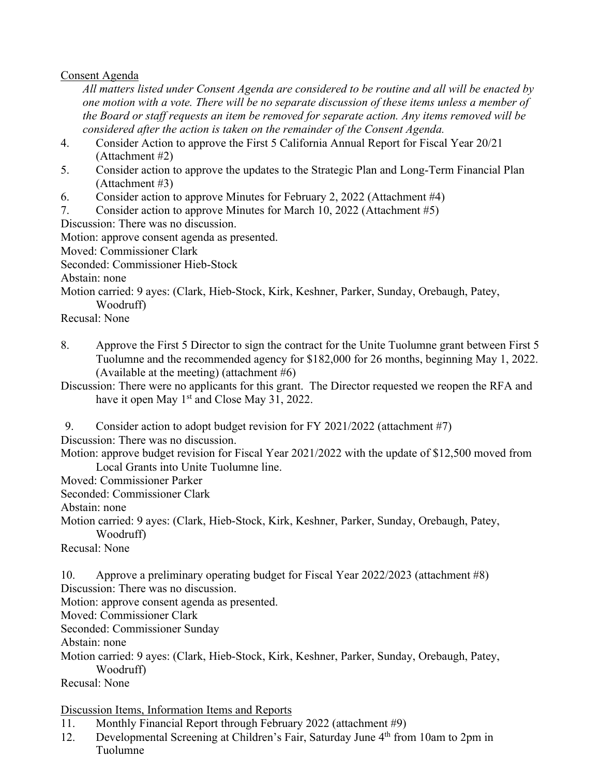Consent Agenda

*All matters listed under Consent Agenda are considered to be routine and all will be enacted by one motion with a vote. There will be no separate discussion of these items unless a member of the Board or staff requests an item be removed for separate action. Any items removed will be considered after the action is taken on the remainder of the Consent Agenda.*

- 4. Consider Action to approve the First 5 California Annual Report for Fiscal Year 20/21 (Attachment #2)
- 5. Consider action to approve the updates to the Strategic Plan and Long-Term Financial Plan (Attachment #3)
- 6. Consider action to approve Minutes for February 2, 2022 (Attachment #4)
- 7. Consider action to approve Minutes for March 10, 2022 (Attachment #5)

Discussion: There was no discussion.

Motion: approve consent agenda as presented.

Moved: Commissioner Clark

Seconded: Commissioner Hieb-Stock

Abstain: none

Motion carried: 9 ayes: (Clark, Hieb-Stock, Kirk, Keshner, Parker, Sunday, Orebaugh, Patey, Woodruff)

Recusal: None

8. Approve the First 5 Director to sign the contract for the Unite Tuolumne grant between First 5 Tuolumne and the recommended agency for \$182,000 for 26 months, beginning May 1, 2022. (Available at the meeting) (attachment  $#6$ )

Discussion: There were no applicants for this grant. The Director requested we reopen the RFA and have it open May 1<sup>st</sup> and Close May 31, 2022.

9. Consider action to adopt budget revision for FY 2021/2022 (attachment #7)

Discussion: There was no discussion.

Motion: approve budget revision for Fiscal Year 2021/2022 with the update of \$12,500 moved from Local Grants into Unite Tuolumne line.

Moved: Commissioner Parker

Seconded: Commissioner Clark

Abstain: none

Motion carried: 9 ayes: (Clark, Hieb-Stock, Kirk, Keshner, Parker, Sunday, Orebaugh, Patey, Woodruff)

Recusal: None

10. Approve a preliminary operating budget for Fiscal Year 2022/2023 (attachment #8) Discussion: There was no discussion.

Motion: approve consent agenda as presented.

Moved: Commissioner Clark

Seconded: Commissioner Sunday

Abstain: none

Motion carried: 9 ayes: (Clark, Hieb-Stock, Kirk, Keshner, Parker, Sunday, Orebaugh, Patey, Woodruff)

Recusal: None

Discussion Items, Information Items and Reports

11. Monthly Financial Report through February 2022 (attachment #9)

12. Developmental Screening at Children's Fair, Saturday June 4<sup>th</sup> from 10am to 2pm in Tuolumne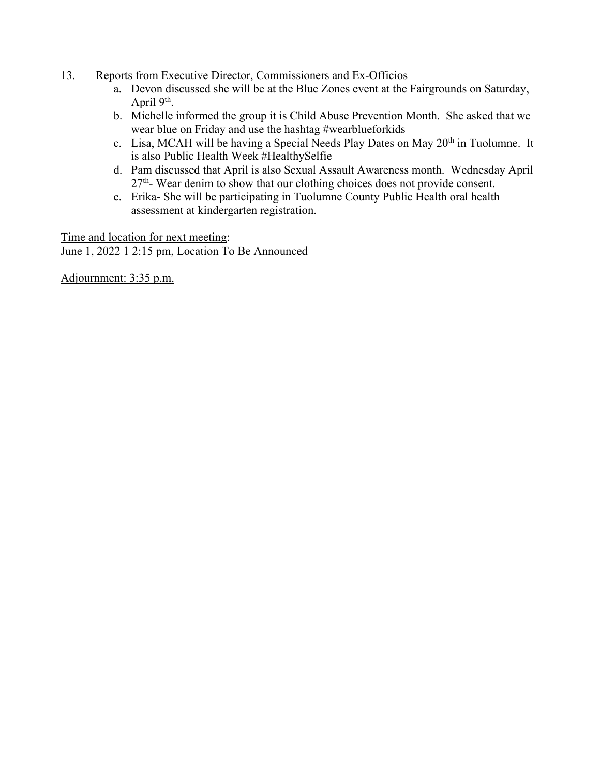- 13. Reports from Executive Director, Commissioners and Ex-Officios
	- a. Devon discussed she will be at the Blue Zones event at the Fairgrounds on Saturday, April 9<sup>th</sup>.
	- b. Michelle informed the group it is Child Abuse Prevention Month. She asked that we wear blue on Friday and use the hashtag #wearblueforkids
	- c. Lisa, MCAH will be having a Special Needs Play Dates on May  $20<sup>th</sup>$  in Tuolumne. It is also Public Health Week #HealthySelfie
	- d. Pam discussed that April is also Sexual Assault Awareness month. Wednesday April 27<sup>th</sup>- Wear denim to show that our clothing choices does not provide consent.
	- e. Erika- She will be participating in Tuolumne County Public Health oral health assessment at kindergarten registration.

Time and location for next meeting: June 1, 2022 1 2:15 pm, Location To Be Announced

Adjournment: 3:35 p.m.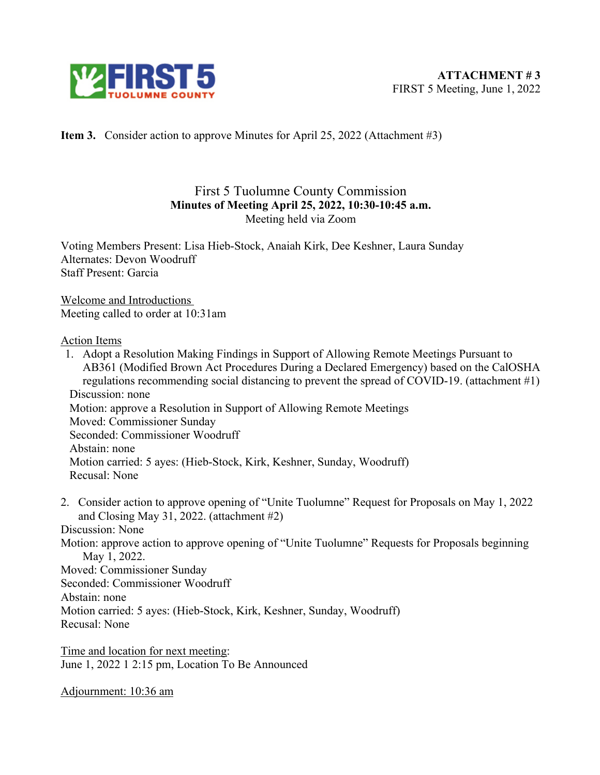

**Item 3.** Consider action to approve Minutes for April 25, 2022 (Attachment #3)

# First 5 Tuolumne County Commission **Minutes of Meeting April 25, 2022, 10:30-10:45 a.m.**  Meeting held via Zoom

Voting Members Present: Lisa Hieb-Stock, Anaiah Kirk, Dee Keshner, Laura Sunday Alternates: Devon Woodruff Staff Present: Garcia

Welcome and Introductions Meeting called to order at 10:31am

#### Action Items

- 1. Adopt a Resolution Making Findings in Support of Allowing Remote Meetings Pursuant to AB361 (Modified Brown Act Procedures During a Declared Emergency) based on the CalOSHA regulations recommending social distancing to prevent the spread of COVID-19. (attachment #1) Discussion: none Motion: approve a Resolution in Support of Allowing Remote Meetings Moved: Commissioner Sunday Seconded: Commissioner Woodruff Abstain: none Motion carried: 5 ayes: (Hieb-Stock, Kirk, Keshner, Sunday, Woodruff) Recusal: None
- 2. Consider action to approve opening of "Unite Tuolumne" Request for Proposals on May 1, 2022 and Closing May 31, 2022. (attachment #2)

Discussion: None

Motion: approve action to approve opening of "Unite Tuolumne" Requests for Proposals beginning May 1, 2022.

Moved: Commissioner Sunday

Seconded: Commissioner Woodruff

Abstain: none

Motion carried: 5 ayes: (Hieb-Stock, Kirk, Keshner, Sunday, Woodruff)

Recusal: None

Time and location for next meeting: June 1, 2022 1 2:15 pm, Location To Be Announced

Adjournment: 10:36 am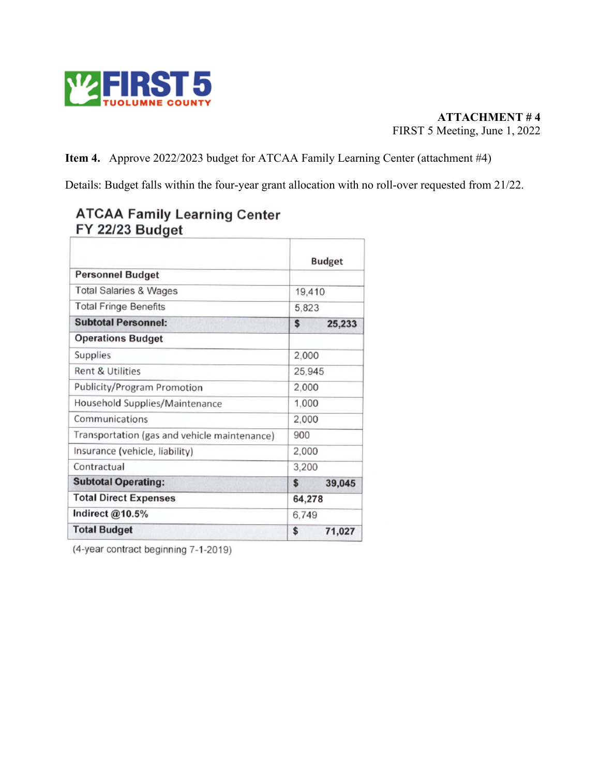

**Item 4.** Approve 2022/2023 budget for ATCAA Family Learning Center (attachment #4)

Details: Budget falls within the four-year grant allocation with no roll-over requested from 21/22.

|                                              | <b>Budget</b> |        |  |  |  |
|----------------------------------------------|---------------|--------|--|--|--|
| <b>Personnel Budget</b>                      |               |        |  |  |  |
| <b>Total Salaries &amp; Wages</b>            | 19,410        |        |  |  |  |
| <b>Total Fringe Benefits</b>                 | 5,823         |        |  |  |  |
| <b>Subtotal Personnel:</b>                   | \$            | 25,233 |  |  |  |
| <b>Operations Budget</b>                     |               |        |  |  |  |
| Supplies                                     | 2,000         |        |  |  |  |
| <b>Rent &amp; Utilities</b>                  | 25,945        |        |  |  |  |
| Publicity/Program Promotion                  | 2,000         |        |  |  |  |
| Household Supplies/Maintenance               | 1,000         |        |  |  |  |
| Communications                               | 2,000         |        |  |  |  |
| Transportation (gas and vehicle maintenance) | 900           |        |  |  |  |
| Insurance (vehicle, liability)               | 2,000         |        |  |  |  |
| Contractual                                  | 3,200         |        |  |  |  |
| <b>Subtotal Operating:</b>                   | \$            | 39,045 |  |  |  |
| <b>Total Direct Expenses</b>                 | 64,278        |        |  |  |  |
| Indirect @10.5%                              | 6,749         |        |  |  |  |
| <b>Total Budget</b>                          | \$            | 71,027 |  |  |  |

# **ATCAA Family Learning Center**<br>FY 22/23 Budget

(4-year contract beginning 7-1-2019)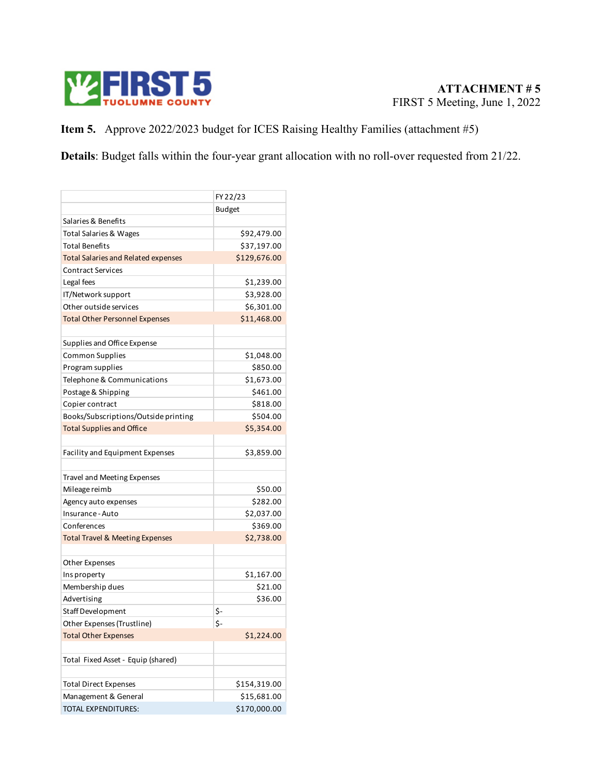

**Item 5.** Approve 2022/2023 budget for ICES Raising Healthy Families (attachment #5)

**Details**: Budget falls within the four-year grant allocation with no roll-over requested from 21/22.

|                                            | FY 22/23      |
|--------------------------------------------|---------------|
|                                            | <b>Budget</b> |
| Salaries & Benefits                        |               |
| <b>Total Salaries &amp; Wages</b>          | \$92,479.00   |
| <b>Total Benefits</b>                      | \$37,197.00   |
| <b>Total Salaries and Related expenses</b> | \$129,676.00  |
| <b>Contract Services</b>                   |               |
| Legal fees                                 | \$1,239.00    |
| IT/Network support                         | \$3,928.00    |
| Other outside services                     | \$6,301.00    |
| <b>Total Other Personnel Expenses</b>      | \$11,468.00   |
|                                            |               |
| Supplies and Office Expense                |               |
| <b>Common Supplies</b>                     | \$1,048.00    |
| Program supplies                           | \$850.00      |
| Telephone & Communications                 | \$1,673.00    |
| Postage & Shipping                         | \$461.00      |
| Copier contract                            | \$818.00      |
| Books/Subscriptions/Outside printing       | \$504.00      |
| <b>Total Supplies and Office</b>           | \$5,354.00    |
|                                            |               |
| Facility and Equipment Expenses            | \$3,859.00    |
|                                            |               |
| <b>Travel and Meeting Expenses</b>         |               |
| Mileage reimb                              | \$50.00       |
| Agency auto expenses                       | \$282.00      |
| Insurance - Auto                           | \$2,037.00    |
| Conferences                                | \$369.00      |
| <b>Total Travel &amp; Meeting Expenses</b> | \$2,738.00    |
|                                            |               |
| Other Expenses                             |               |
| Ins property                               | \$1,167.00    |
| Membership dues                            | \$21.00       |
| Advertising                                | \$36.00       |
| Staff Development                          | \$-           |
| Other Expenses (Trustline)                 | \$-           |
| <b>Total Other Expenses</b>                | \$1,224.00    |
|                                            |               |
| Total Fixed Asset - Equip (shared)         |               |
|                                            |               |
| <b>Total Direct Expenses</b>               | \$154,319.00  |
| Management & General                       | \$15,681.00   |
| <b>TOTAL EXPENDITURES:</b>                 | \$170,000.00  |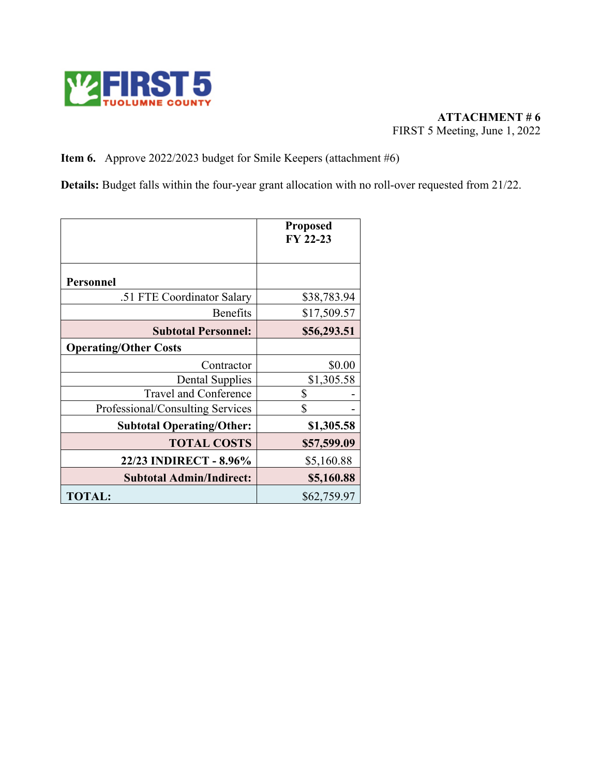

## **Item 6.** Approve 2022/2023 budget for Smile Keepers (attachment #6)

**Details:** Budget falls within the four-year grant allocation with no roll-over requested from 21/22.

|                                  | <b>Proposed</b><br>FY 22-23 |
|----------------------------------|-----------------------------|
|                                  |                             |
| Personnel                        |                             |
| .51 FTE Coordinator Salary       | \$38,783.94                 |
| <b>Benefits</b>                  | \$17,509.57                 |
| <b>Subtotal Personnel:</b>       | \$56,293.51                 |
| <b>Operating/Other Costs</b>     |                             |
| Contractor                       | \$0.00                      |
| <b>Dental Supplies</b>           | \$1,305.58                  |
| Travel and Conference            | \$                          |
| Professional/Consulting Services | \$                          |
| <b>Subtotal Operating/Other:</b> | \$1,305.58                  |
| <b>TOTAL COSTS</b>               | \$57,599.09                 |
| 22/23 INDIRECT - 8.96%           | \$5,160.88                  |
| <b>Subtotal Admin/Indirect:</b>  | \$5,160.88                  |
| <b>TOTAL:</b>                    | \$62,759.97                 |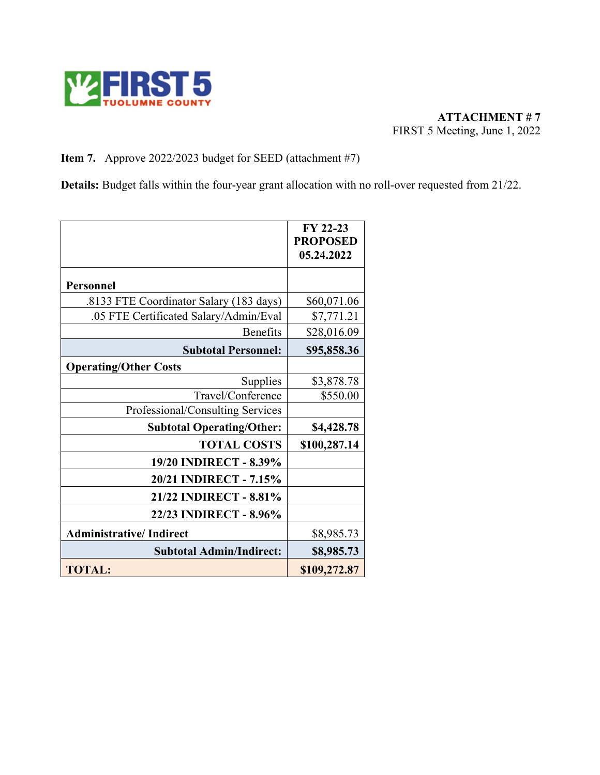

## **Item 7.** Approve 2022/2023 budget for SEED (attachment #7)

**Details:** Budget falls within the four-year grant allocation with no roll-over requested from 21/22.

|                                         | FY 22-23<br><b>PROPOSED</b><br>05.24.2022 |
|-----------------------------------------|-------------------------------------------|
| <b>Personnel</b>                        |                                           |
| .8133 FTE Coordinator Salary (183 days) | \$60,071.06                               |
| .05 FTE Certificated Salary/Admin/Eval  | \$7,771.21                                |
| <b>Benefits</b>                         | \$28,016.09                               |
| <b>Subtotal Personnel:</b>              | \$95,858.36                               |
| <b>Operating/Other Costs</b>            |                                           |
| Supplies                                | \$3,878.78                                |
| Travel/Conference                       | \$550.00                                  |
| Professional/Consulting Services        |                                           |
| <b>Subtotal Operating/Other:</b>        | \$4,428.78                                |
| <b>TOTAL COSTS</b>                      | \$100,287.14                              |
| 19/20 INDIRECT - 8.39%                  |                                           |
| 20/21 INDIRECT - 7.15%                  |                                           |
| 21/22 INDIRECT - 8.81%                  |                                           |
| 22/23 INDIRECT - 8.96%                  |                                           |
| <b>Administrative/Indirect</b>          | \$8,985.73                                |
| <b>Subtotal Admin/Indirect:</b>         | \$8,985.73                                |
| <b>TOTAL:</b>                           | \$109,272.87                              |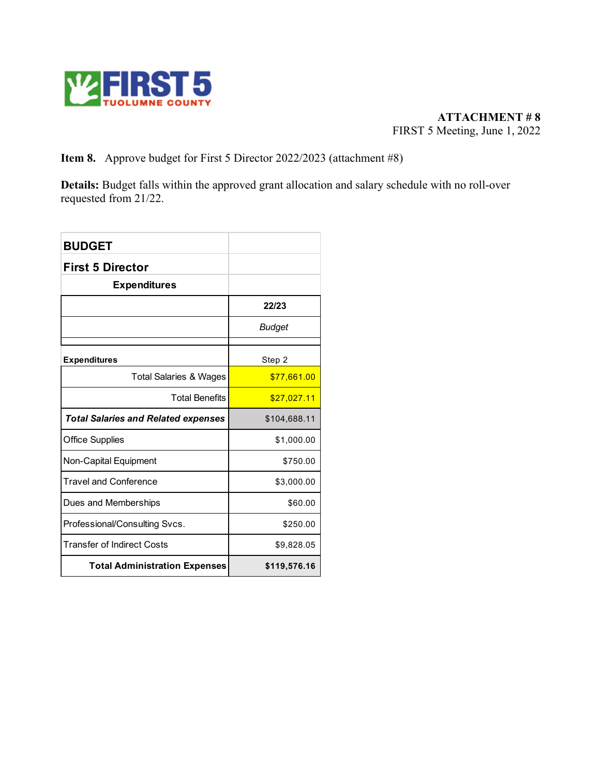

**ATTACHMENT # 8** FIRST 5 Meeting, June 1, 2022

**Item 8.** Approve budget for First 5 Director 2022/2023 (attachment #8)

**Details:** Budget falls within the approved grant allocation and salary schedule with no roll-over requested from 21/22.

| <b>BUDGET</b>                              |              |
|--------------------------------------------|--------------|
| <b>First 5 Director</b>                    |              |
| <b>Expenditures</b>                        |              |
|                                            | 22/23        |
|                                            | Budget       |
| <b>Expenditures</b>                        | Step 2       |
| <b>Total Salaries &amp; Wages</b>          | \$77,661.00  |
| <b>Total Benefits</b>                      | \$27,027.11  |
| <b>Total Salaries and Related expenses</b> | \$104,688.11 |
| <b>Office Supplies</b>                     | \$1,000.00   |
| Non-Capital Equipment                      | \$750.00     |
| <b>Travel and Conference</b>               | \$3,000.00   |
| Dues and Memberships                       | \$60.00      |
| Professional/Consulting Svcs.              | \$250.00     |
| <b>Transfer of Indirect Costs</b>          | \$9,828.05   |
| <b>Total Administration Expenses</b>       | \$119,576.16 |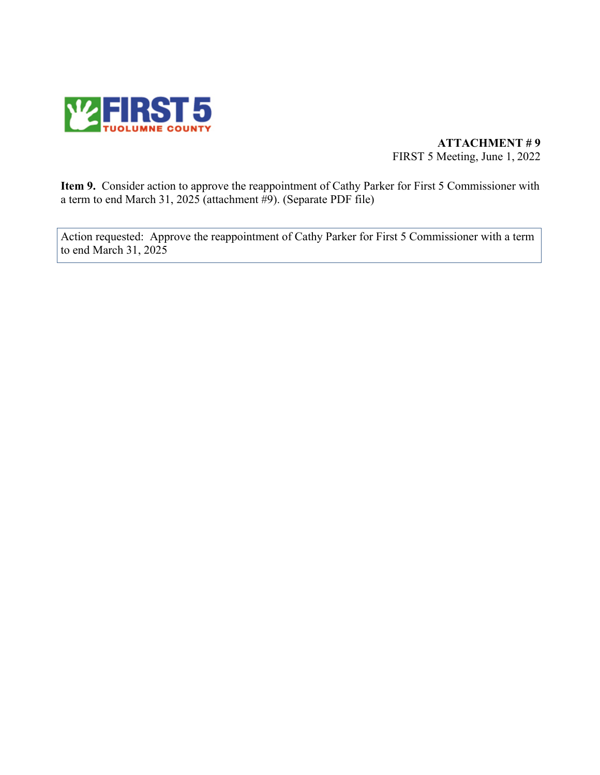

#### **ATTACHMENT # 9** FIRST 5 Meeting, June 1, 2022

**Item 9.** Consider action to approve the reappointment of Cathy Parker for First 5 Commissioner with a term to end March 31, 2025 (attachment #9). (Separate PDF file)

Action requested: Approve the reappointment of Cathy Parker for First 5 Commissioner with a term to end March 31, 2025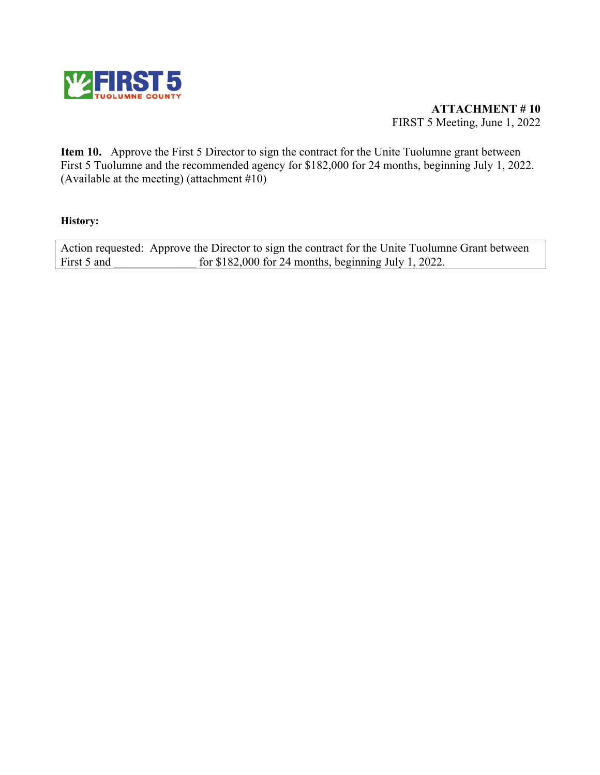

**ATTACHMENT # 10** FIRST 5 Meeting, June 1, 2022

**Item 10.** Approve the First 5 Director to sign the contract for the Unite Tuolumne grant between First 5 Tuolumne and the recommended agency for \$182,000 for 24 months, beginning July 1, 2022. (Available at the meeting) (attachment  $#10$ )

#### **History:**

Action requested: Approve the Director to sign the contract for the Unite Tuolumne Grant between First 5 and for \$182,000 for 24 months, beginning July 1, 2022.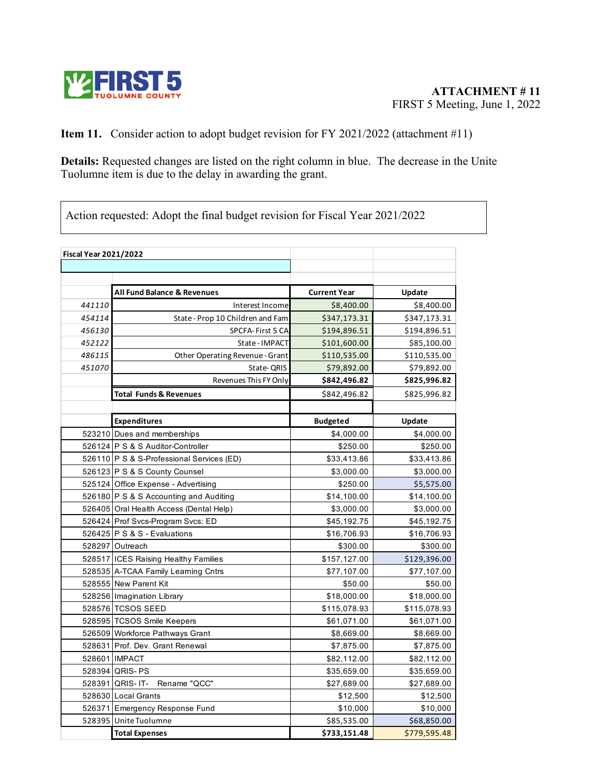

## **Item 11.** Consider action to adopt budget revision for FY 2021/2022 (attachment #11)

**Details:** Requested changes are listed on the right column in blue. The decrease in the Unite Tuolumne item is due to the delay in awarding the grant.

Action requested: Adopt the final budget revision for Fiscal Year 2021/2022

|        | <b>Fiscal Year 2021/2022</b>              |                     |              |  |  |
|--------|-------------------------------------------|---------------------|--------------|--|--|
|        |                                           |                     |              |  |  |
|        | <b>All Fund Balance &amp; Revenues</b>    | <b>Current Year</b> | Update       |  |  |
| 441110 | Interest Income                           | \$8,400.00          | \$8,400.00   |  |  |
| 454114 | State - Prop 10 Children and Fam          | \$347,173.31        | \$347,173.31 |  |  |
| 456130 | SPCFA-First 5 CA                          | \$194,896.51        | \$194,896.51 |  |  |
| 452122 | State - IMPACT                            | \$101,600.00        | \$85,100.00  |  |  |
| 486115 | Other Operating Revenue - Grant           | \$110,535.00        | \$110,535.00 |  |  |
| 451070 | State-QRIS                                | \$79,892.00         | \$79,892.00  |  |  |
|        | Revenues This FY Only                     | \$842,496.82        | \$825,996.82 |  |  |
|        | <b>Total Funds &amp; Revenues</b>         | \$842,496.82        | \$825,996.82 |  |  |
|        |                                           |                     |              |  |  |
|        | <b>Expenditures</b>                       | <b>Budgeted</b>     | Update       |  |  |
|        | 523210 Dues and memberships               | \$4,000.00          | \$4,000.00   |  |  |
|        | 526124 P S & S Auditor-Controller         | \$250.00            | \$250.00     |  |  |
|        | 526110 P S & S-Professional Services (ED) | \$33,413.86         | \$33,413.86  |  |  |
|        | 526123 P S & S County Counsel             | \$3,000.00          | \$3,000.00   |  |  |
|        | 525124 Office Expense - Advertising       | \$250.00            | \$5,575.00   |  |  |
|        | 526180 P S & S Accounting and Auditing    | \$14,100.00         | \$14,100.00  |  |  |
|        | 526405 Oral Health Access (Dental Help)   | \$3,000.00          | \$3,000.00   |  |  |
|        | 526424 Prof Svcs-Program Svcs: ED         | \$45,192.75         | \$45,192.75  |  |  |
|        | 526425 P S & S - Evaluations              | \$16,706.93         | \$16,706.93  |  |  |
|        | 528297 Outreach                           | \$300.00            | \$300.00     |  |  |
|        | 528517 ICES Raising Healthy Families      | \$157,127.00        | \$129,396.00 |  |  |
|        | 528535 A-TCAA Family Learning Cntrs       | \$77,107.00         | \$77,107.00  |  |  |
|        | 528555 New Parent Kit                     | \$50.00             | \$50.00      |  |  |
|        | 528256 Imagination Library                | \$18,000.00         | \$18,000.00  |  |  |
|        | 528576 TCSOS SEED                         | \$115,078.93        | \$115,078.93 |  |  |
|        | 528595 TCSOS Smile Keepers                | \$61,071.00         | \$61,071.00  |  |  |
|        | 526509 Workforce Pathways Grant           | \$8,669.00          | \$8,669.00   |  |  |
|        | 528631 Prof. Dev. Grant Renewal           | \$7,875.00          | \$7,875.00   |  |  |
|        | 528601 IMPACT                             | \$82,112.00         | \$82,112.00  |  |  |
|        | 528394 QRIS- PS                           | \$35,659.00         | \$35,659.00  |  |  |
|        | 528391 QRIS- IT-<br>Rename "QCC"          | \$27,689.00         | \$27,689.00  |  |  |
|        | 528630 Local Grants                       | \$12,500            | \$12,500     |  |  |
|        | 526371 Emergency Response Fund            | \$10,000            | \$10,000     |  |  |
|        | 528395 Unite Tuolumne                     | \$85,535.00         | \$68,850.00  |  |  |
|        | <b>Total Expenses</b>                     | \$733,151.48        | \$779,595.48 |  |  |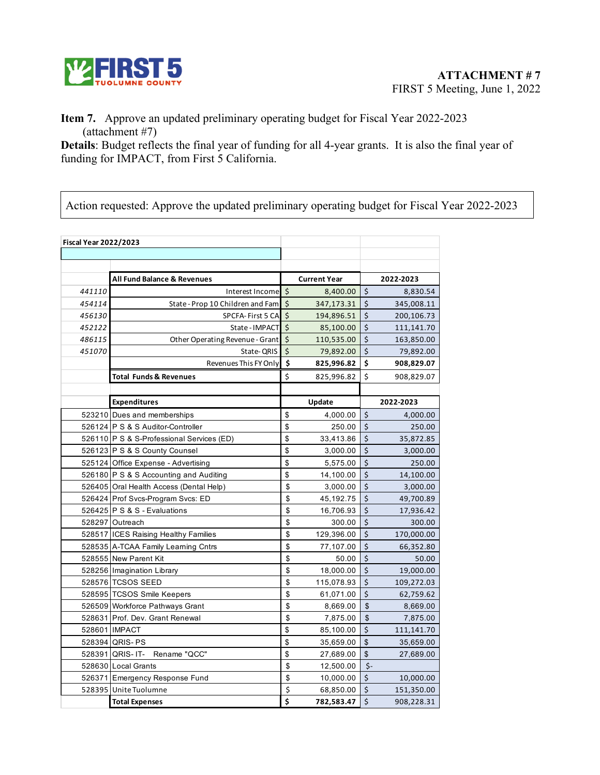

#### **Item 7.** Approve an updated preliminary operating budget for Fiscal Year 2022-2023 (attachment #7)

**Details**: Budget reflects the final year of funding for all 4-year grants. It is also the final year of funding for IMPACT, from First 5 California.

Action requested: Approve the updated preliminary operating budget for Fiscal Year 2022-2023

| <b>Fiscal Year 2022/2023</b> |                                           |         |                     |                    |            |
|------------------------------|-------------------------------------------|---------|---------------------|--------------------|------------|
|                              |                                           |         |                     |                    |            |
|                              | All Fund Balance & Revenues               |         | <b>Current Year</b> |                    | 2022-2023  |
| 441110                       | Interest Income                           | \$      | 8,400.00            | \$                 | 8,830.54   |
| 454114                       | State - Prop 10 Children and Fam          | \$      | 347,173.31          | Ś                  | 345,008.11 |
| 456130                       | SPCFA-First 5 CA                          | $\zeta$ | 194,896.51          | $\zeta$            | 200,106.73 |
| 452122                       | State - IMPACT                            | $\zeta$ | 85,100.00           | \$                 | 111,141.70 |
| 486115                       | Other Operating Revenue - Grant           | $\zeta$ | 110,535.00          | $\overline{\xi}$   | 163,850.00 |
| 451070                       | State-QRIS                                | $\zeta$ | 79,892.00           | $\zeta$            | 79,892.00  |
|                              | Revenues This FY Only                     | \$      | 825,996.82          | \$                 | 908,829.07 |
|                              | <b>Total Funds &amp; Revenues</b>         | \$      | 825,996.82          | \$                 | 908,829.07 |
|                              |                                           |         |                     |                    |            |
|                              | <b>Expenditures</b>                       |         | Update              |                    | 2022-2023  |
|                              | 523210 Dues and memberships               | \$      | 4,000.00            | $\zeta$            | 4,000.00   |
|                              | 526124 P S & S Auditor-Controller         | \$      | 250.00              | Ś                  | 250.00     |
|                              | 526110 P S & S-Professional Services (ED) | \$      | 33,413.86           | \$                 | 35,872.85  |
|                              | 526123 P S & S County Counsel             | \$      | 3,000.00            | \$                 | 3,000.00   |
|                              | 525124 Office Expense - Advertising       | \$      | 5,575.00            | $\mathsf{\dot{S}}$ | 250.00     |
|                              | 526180 P S & S Accounting and Auditing    | \$      | 14,100.00           | \$                 | 14,100.00  |
|                              | 526405 Oral Health Access (Dental Help)   | \$      | 3,000.00            | $\zeta$            | 3,000.00   |
|                              | 526424 Prof Svcs-Program Svcs: ED         | \$      | 45,192.75           | $\zeta$            | 49,700.89  |
|                              | 526425 P S & S - Evaluations              | \$      | 16,706.93           | $\ddot{\varsigma}$ | 17,936.42  |
|                              | 528297 Outreach                           | \$      | 300.00              | $\zeta$            | 300.00     |
|                              | 528517 ICES Raising Healthy Families      | \$      | 129,396.00          | $\zeta$            | 170,000.00 |
|                              | 528535 A-TCAA Family Learning Cntrs       | \$      | 77,107.00           | \$                 | 66,352.80  |
|                              | 528555 New Parent Kit                     | \$      | 50.00               | \$                 | 50.00      |
|                              | 528256 Imagination Library                | \$      | 18,000.00           | $\zeta$            | 19,000.00  |
|                              | 528576 TCSOS SEED                         | \$      | 115,078.93          | \$                 | 109,272.03 |
|                              | 528595 TCSOS Smile Keepers                | \$      | 61,071.00           | $\zeta$            | 62,759.62  |
|                              | 526509 Workforce Pathways Grant           | \$      | 8,669.00            | $\sqrt{2}$         | 8,669.00   |
|                              | 528631 Prof. Dev. Grant Renewal           | \$      | 7,875.00            | $\sqrt{2}$         | 7,875.00   |
|                              | 528601 IMPACT                             | \$      | 85,100.00           | $\zeta$            | 111,141.70 |
|                              | 528394 QRIS- PS                           | \$      | 35,659.00           | $\mathsf{\$}$      | 35,659.00  |
|                              | 528391 QRIS- IT-<br>Rename "QCC"          | \$      | 27,689.00           | \$                 | 27,689.00  |
|                              | 528630 Local Grants                       | \$      | 12,500.00           | $\zeta$ -          |            |
|                              | 526371 Emergency Response Fund            | \$      | 10,000.00           | $\zeta$            | 10,000.00  |
|                              | 528395 Unite Tuolumne                     | \$      | 68,850.00           | \$                 | 151,350.00 |
|                              | <b>Total Expenses</b>                     | \$      | 782,583.47          | $\zeta$            | 908,228.31 |